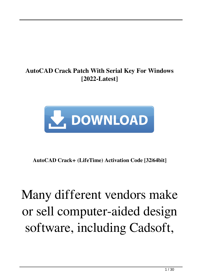#### **AutoCAD Crack Patch With Serial Key For Windows [2022-Latest]**



**AutoCAD Crack+ (LifeTime) Activation Code [32|64bit]**

## Many different vendors make or sell computer-aided design software, including Cadsoft,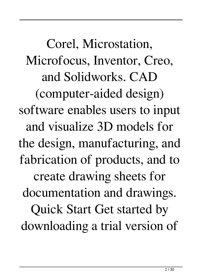Corel, Microstation, Microfocus, Inventor, Creo, and Solidworks. CAD (computer-aided design) software enables users to input and visualize 3D models for the design, manufacturing, and fabrication of products, and to create drawing sheets for documentation and drawings. Quick Start Get started by downloading a trial version of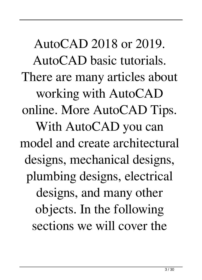AutoCAD 2018 or 2019. AutoCAD basic tutorials. There are many articles about working with AutoCAD online. More AutoCAD Tips. With AutoCAD you can model and create architectural designs, mechanical designs, plumbing designs, electrical designs, and many other objects. In the following sections we will cover the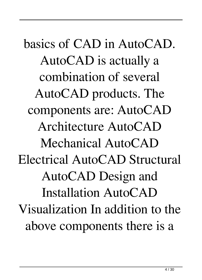basics of CAD in AutoCAD. AutoCAD is actually a combination of several AutoCAD products. The components are: AutoCAD Architecture AutoCAD Mechanical AutoCAD Electrical AutoCAD Structural AutoCAD Design and Installation AutoCAD Visualization In addition to the above components there is a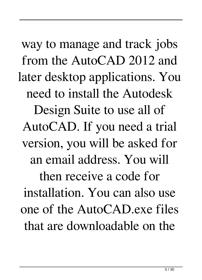way to manage and track jobs from the AutoCAD 2012 and later desktop applications. You need to install the Autodesk Design Suite to use all of AutoCAD. If you need a trial version, you will be asked for an email address. You will then receive a code for installation. You can also use one of the AutoCAD.exe files that are downloadable on the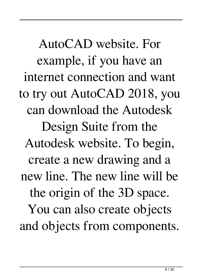AutoCAD website. For example, if you have an internet connection and want to try out AutoCAD 2018, you can download the Autodesk Design Suite from the Autodesk website. To begin, create a new drawing and a new line. The new line will be the origin of the 3D space. You can also create objects and objects from components.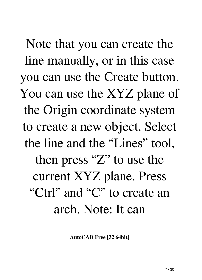Note that you can create the line manually, or in this case you can use the Create button. You can use the XYZ plane of the Origin coordinate system to create a new object. Select the line and the "Lines" tool, then press "Z" to use the current XYZ plane. Press "Ctrl" and "C" to create an arch. Note: It can

**AutoCAD Free [32|64bit]**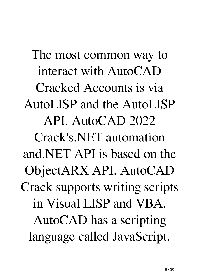The most common way to interact with AutoCAD Cracked Accounts is via AutoLISP and the AutoLISP API. AutoCAD 2022 Crack's.NET automation and.NET API is based on the ObjectARX API. AutoCAD Crack supports writing scripts in Visual LISP and VBA. AutoCAD has a scripting language called JavaScript.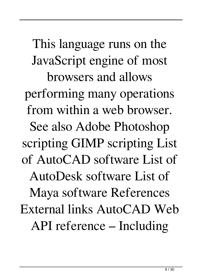This language runs on the JavaScript engine of most browsers and allows performing many operations from within a web browser. See also Adobe Photoshop scripting GIMP scripting List of AutoCAD software List of AutoDesk software List of Maya software References External links AutoCAD Web API reference – Including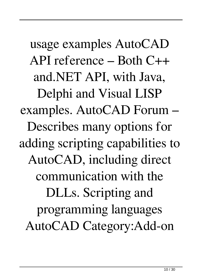usage examples AutoCAD API reference – Both C++ and.NET API, with Java, Delphi and Visual LISP examples. AutoCAD Forum – Describes many options for adding scripting capabilities to AutoCAD, including direct communication with the DLLs. Scripting and programming languages AutoCAD Category:Add-on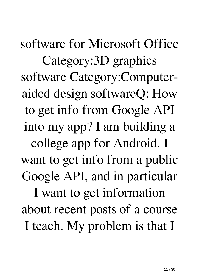software for Microsoft Office Category:3D graphics software Category:Computeraided design softwareQ: How to get info from Google API into my app? I am building a college app for Android. I want to get info from a public Google API, and in particular I want to get information about recent posts of a course I teach. My problem is that I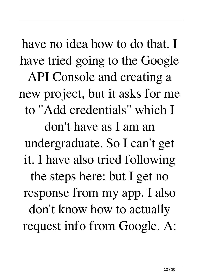have no idea how to do that. I have tried going to the Google API Console and creating a new project, but it asks for me to "Add credentials" which I don't have as I am an undergraduate. So I can't get it. I have also tried following the steps here: but I get no response from my app. I also don't know how to actually request info from Google. A: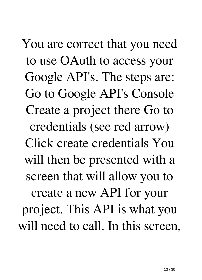You are correct that you need to use OAuth to access your Google API's. The steps are: Go to Google API's Console Create a project there Go to credentials (see red arrow) Click create credentials You will then be presented with a screen that will allow you to create a new API for your project. This API is what you will need to call. In this screen,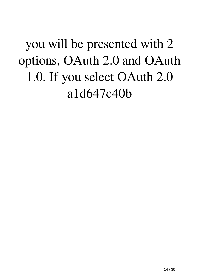you will be presented with 2 options, OAuth 2.0 and OAuth 1.0. If you select OAuth 2.0 a1d647c40b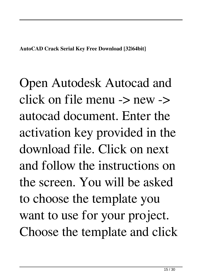Open Autodesk Autocad and click on file menu -> new -> autocad document. Enter the activation key provided in the download file. Click on next and follow the instructions on the screen. You will be asked to choose the template you want to use for your project. Choose the template and click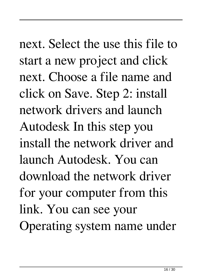next. Select the use this file to start a new project and click next. Choose a file name and click on Save. Step 2: install network drivers and launch Autodesk In this step you install the network driver and launch Autodesk. You can download the network driver for your computer from this link. You can see your Operating system name under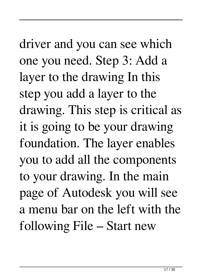driver and you can see which one you need. Step 3: Add a layer to the drawing In this step you add a layer to the drawing. This step is critical as it is going to be your drawing foundation. The layer enables you to add all the components to your drawing. In the main page of Autodesk you will see a menu bar on the left with the following File – Start new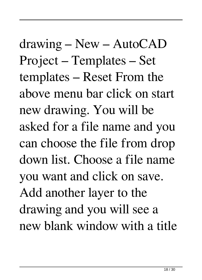drawing – New – AutoCAD Project – Templates – Set templates – Reset From the above menu bar click on start new drawing. You will be asked for a file name and you can choose the file from drop down list. Choose a file name you want and click on save. Add another layer to the drawing and you will see a new blank window with a title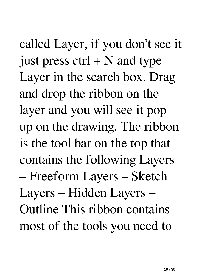called Layer, if you don't see it just press  $ctrl + N$  and type Layer in the search box. Drag and drop the ribbon on the layer and you will see it pop up on the drawing. The ribbon is the tool bar on the top that contains the following Layers – Freeform Layers – Sketch Layers – Hidden Layers – Outline This ribbon contains most of the tools you need to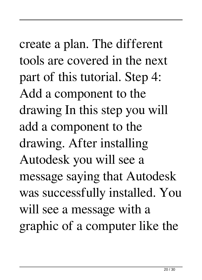create a plan. The different tools are covered in the next part of this tutorial. Step 4: Add a component to the drawing In this step you will add a component to the drawing. After installing Autodesk you will see a message saying that Autodesk was successfully installed. You will see a message with a graphic of a computer like the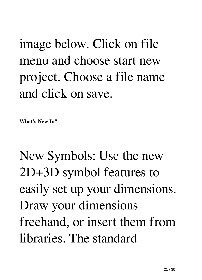# image below. Click on file menu and choose start new project. Choose a file name and click on save.

**What's New In?**

New Symbols: Use the new 2D+3D symbol features to easily set up your dimensions. Draw your dimensions freehand, or insert them from libraries. The standard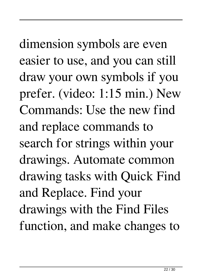dimension symbols are even easier to use, and you can still draw your own symbols if you prefer. (video: 1:15 min.) New Commands: Use the new find and replace commands to search for strings within your drawings. Automate common drawing tasks with Quick Find and Replace. Find your drawings with the Find Files function, and make changes to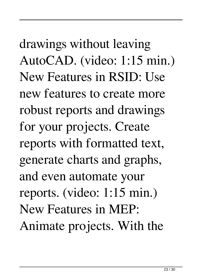drawings without leaving AutoCAD. (video: 1:15 min.) New Features in RSID: Use new features to create more robust reports and drawings for your projects. Create reports with formatted text, generate charts and graphs, and even automate your reports. (video: 1:15 min.) New Features in MEP: Animate projects. With the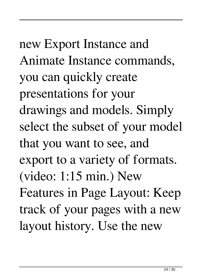new Export Instance and Animate Instance commands, you can quickly create presentations for your drawings and models. Simply select the subset of your model that you want to see, and export to a variety of formats. (video: 1:15 min.) New Features in Page Layout: Keep track of your pages with a new layout history. Use the new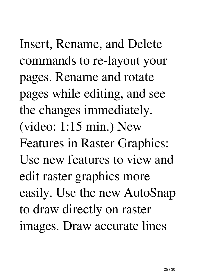Insert, Rename, and Delete commands to re-layout your pages. Rename and rotate pages while editing, and see the changes immediately. (video: 1:15 min.) New Features in Raster Graphics: Use new features to view and edit raster graphics more easily. Use the new AutoSnap to draw directly on raster images. Draw accurate lines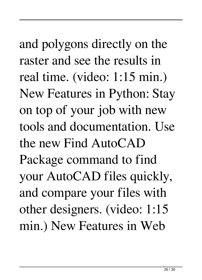and polygons directly on the raster and see the results in real time. (video: 1:15 min.) New Features in Python: Stay on top of your job with new tools and documentation. Use the new Find AutoCAD Package command to find your AutoCAD files quickly, and compare your files with other designers. (video: 1:15 min.) New Features in Web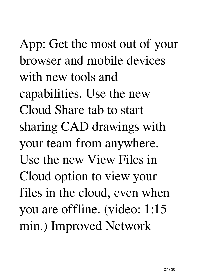App: Get the most out of your browser and mobile devices with new tools and capabilities. Use the new Cloud Share tab to start sharing CAD drawings with your team from anywhere. Use the new View Files in Cloud option to view your files in the cloud, even when you are offline. (video: 1:15 min.) Improved Network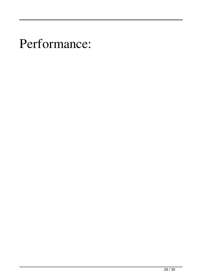#### Performance: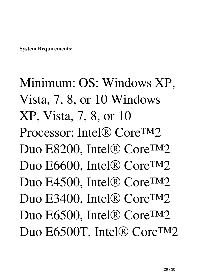**System Requirements:**

Minimum: OS: Windows XP, Vista, 7, 8, or 10 Windows XP, Vista, 7, 8, or 10 Processor: Intel® Core™2 Duo E8200, Intel® Core<sup>TM</sup>2 Duo E6600, Intel® Core™2 Duo E4500, Intel® Core™2 Duo E3400, Intel® Core<sup>TM</sup>2 Duo E6500, Intel® Core™2 Duo E6500T, Intel® Core™2